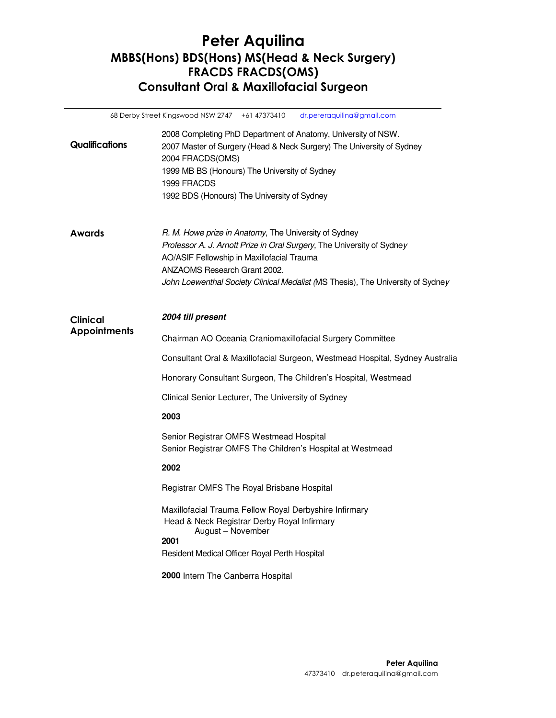## Peter Aquilina MBBS(Hons) BDS(Hons) MS(Head & Neck Surgery) FRACDS FRACDS(OMS) Consultant Oral & Maxillofacial Surgeon

|                                        | 68 Derby Street Kingswood NSW 2747 +61 47373410<br>dr.peteraquilina@gmail.com                                                                                                                                                                                                                    |
|----------------------------------------|--------------------------------------------------------------------------------------------------------------------------------------------------------------------------------------------------------------------------------------------------------------------------------------------------|
| <b>Qualifications</b>                  | 2008 Completing PhD Department of Anatomy, University of NSW.<br>2007 Master of Surgery (Head & Neck Surgery) The University of Sydney<br>2004 FRACDS(OMS)<br>1999 MB BS (Honours) The University of Sydney<br>1999 FRACDS<br>1992 BDS (Honours) The University of Sydney                        |
| <b>Awards</b>                          | R. M. Howe prize in Anatomy, The University of Sydney<br>Professor A. J. Arnott Prize in Oral Surgery, The University of Sydney<br>AO/ASIF Fellowship in Maxillofacial Trauma<br>ANZAOMS Research Grant 2002.<br>John Loewenthal Society Clinical Medalist (MS Thesis), The University of Sydney |
| <b>Clinical</b><br><b>Appointments</b> | 2004 till present                                                                                                                                                                                                                                                                                |
|                                        | Chairman AO Oceania Craniomaxillofacial Surgery Committee                                                                                                                                                                                                                                        |
|                                        | Consultant Oral & Maxillofacial Surgeon, Westmead Hospital, Sydney Australia                                                                                                                                                                                                                     |
|                                        | Honorary Consultant Surgeon, The Children's Hospital, Westmead                                                                                                                                                                                                                                   |
|                                        | Clinical Senior Lecturer, The University of Sydney                                                                                                                                                                                                                                               |
|                                        | 2003                                                                                                                                                                                                                                                                                             |
|                                        | Senior Registrar OMFS Westmead Hospital<br>Senior Registrar OMFS The Children's Hospital at Westmead                                                                                                                                                                                             |
|                                        | 2002                                                                                                                                                                                                                                                                                             |
|                                        | Registrar OMFS The Royal Brisbane Hospital                                                                                                                                                                                                                                                       |
|                                        | Maxillofacial Trauma Fellow Royal Derbyshire Infirmary<br>Head & Neck Registrar Derby Royal Infirmary<br>August - November<br>2001<br>Resident Medical Officer Royal Perth Hospital                                                                                                              |
|                                        | 2000 Intern The Canberra Hospital                                                                                                                                                                                                                                                                |
|                                        |                                                                                                                                                                                                                                                                                                  |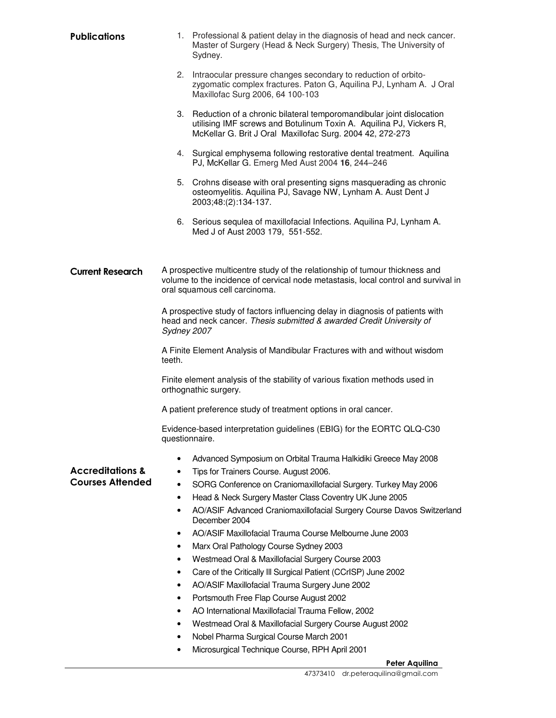| <b>Publications</b>         |                | 1. Professional & patient delay in the diagnosis of head and neck cancer.<br>Master of Surgery (Head & Neck Surgery) Thesis, The University of<br>Sydney.                                                   |
|-----------------------------|----------------|-------------------------------------------------------------------------------------------------------------------------------------------------------------------------------------------------------------|
|                             |                | 2. Intraocular pressure changes secondary to reduction of orbito-<br>zygomatic complex fractures. Paton G, Aquilina PJ, Lynham A. J Oral<br>Maxillofac Surg 2006, 64 100-103                                |
|                             |                | 3. Reduction of a chronic bilateral temporomandibular joint dislocation<br>utilising IMF screws and Botulinum Toxin A. Aquilina PJ, Vickers R,<br>McKellar G. Brit J Oral Maxillofac Surg. 2004 42, 272-273 |
|                             |                | 4. Surgical emphysema following restorative dental treatment. Aquilina<br>PJ, McKellar G. Emerg Med Aust 2004 16, 244-246                                                                                   |
|                             |                | 5. Crohns disease with oral presenting signs masquerading as chronic<br>osteomyelitis. Aquilina PJ, Savage NW, Lynham A. Aust Dent J<br>2003;48:(2):134-137.                                                |
|                             |                | 6. Serious sequlea of maxillofacial Infections. Aquilina PJ, Lynham A.<br>Med J of Aust 2003 179, 551-552.                                                                                                  |
| <b>Current Research</b>     |                | A prospective multicentre study of the relationship of tumour thickness and<br>volume to the incidence of cervical node metastasis, local control and survival in<br>oral squamous cell carcinoma.          |
|                             | Sydney 2007    | A prospective study of factors influencing delay in diagnosis of patients with<br>head and neck cancer. Thesis submitted & awarded Credit University of                                                     |
|                             | teeth.         | A Finite Element Analysis of Mandibular Fractures with and without wisdom                                                                                                                                   |
|                             |                | Finite element analysis of the stability of various fixation methods used in<br>orthognathic surgery.                                                                                                       |
|                             |                | A patient preference study of treatment options in oral cancer.                                                                                                                                             |
|                             | questionnaire. | Evidence-based interpretation guidelines (EBIG) for the EORTC QLQ-C30                                                                                                                                       |
|                             | $\bullet$      | Advanced Symposium on Orbital Trauma Halkidiki Greece May 2008                                                                                                                                              |
| <b>Accreditations &amp;</b> | ٠              | Tips for Trainers Course. August 2006.                                                                                                                                                                      |
| <b>Courses Attended</b>     | $\bullet$      | SORG Conference on Craniomaxillofacial Surgery. Turkey May 2006                                                                                                                                             |
|                             | ٠              | Head & Neck Surgery Master Class Coventry UK June 2005                                                                                                                                                      |
|                             | $\bullet$      | AO/ASIF Advanced Craniomaxillofacial Surgery Course Davos Switzerland<br>December 2004                                                                                                                      |
|                             | ٠              | AO/ASIF Maxillofacial Trauma Course Melbourne June 2003                                                                                                                                                     |
|                             | ٠              | Marx Oral Pathology Course Sydney 2003                                                                                                                                                                      |
|                             | ٠              | Westmead Oral & Maxillofacial Surgery Course 2003                                                                                                                                                           |
|                             | ٠              | Care of the Critically III Surgical Patient (CCrISP) June 2002                                                                                                                                              |
|                             | ٠              | AO/ASIF Maxillofacial Trauma Surgery June 2002                                                                                                                                                              |
|                             | ٠              | Portsmouth Free Flap Course August 2002                                                                                                                                                                     |
|                             | ٠              | AO International Maxillofacial Trauma Fellow, 2002                                                                                                                                                          |
|                             | ٠              | Westmead Oral & Maxillofacial Surgery Course August 2002                                                                                                                                                    |
|                             |                | Nobel Pharma Surgical Course March 2001                                                                                                                                                                     |

• Microsurgical Technique Course, RPH April 2001

## Peter Aquilina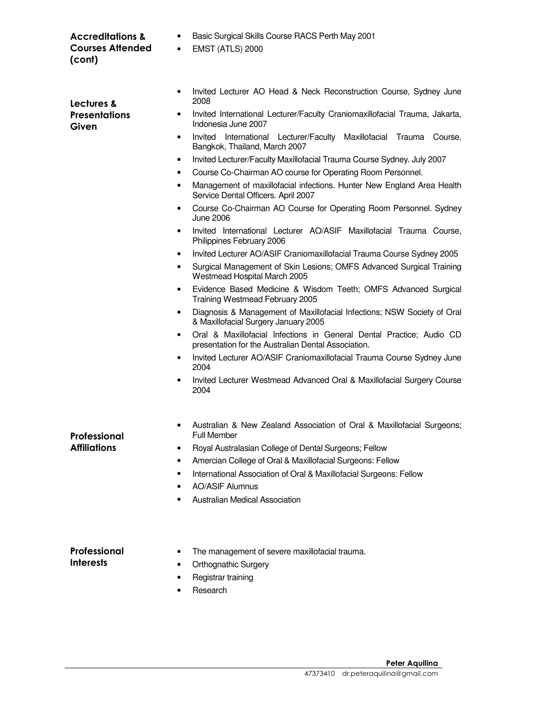| <b>Accreditations &amp;</b><br><b>Courses Attended</b><br>(cont) | Basic Surgical Skills Course RACS Perth May 2001<br>٠<br><b>EMST (ATLS) 2000</b><br>$\bullet$                                                                                                                                                                                                                                                                                                                                                                                                                                                                                                                                                                                                                                                                                             |
|------------------------------------------------------------------|-------------------------------------------------------------------------------------------------------------------------------------------------------------------------------------------------------------------------------------------------------------------------------------------------------------------------------------------------------------------------------------------------------------------------------------------------------------------------------------------------------------------------------------------------------------------------------------------------------------------------------------------------------------------------------------------------------------------------------------------------------------------------------------------|
| Lectures &<br><b>Presentations</b><br>Given                      | Invited Lecturer AO Head & Neck Reconstruction Course, Sydney June<br>٠<br>2008<br>Invited International Lecturer/Faculty Craniomaxillofacial Trauma, Jakarta,<br>٠<br>Indonesia June 2007<br>Invited International Lecturer/Faculty<br>Maxillofacial<br>Trauma<br>Course,<br>٠<br>Bangkok, Thailand, March 2007<br>Invited Lecturer/Faculty Maxillofacial Trauma Course Sydney. July 2007<br>٠<br>Course Co-Chairman AO course for Operating Room Personnel.<br>٠<br>Management of maxillofacial infections. Hunter New England Area Health<br>٠<br>Service Dental Officers. April 2007<br>Course Co-Chairman AO Course for Operating Room Personnel. Sydney<br>٠<br><b>June 2006</b><br>Invited International Lecturer AO/ASIF Maxillofacial Trauma Course,<br>٠                        |
|                                                                  | Philippines February 2006<br>Invited Lecturer AO/ASIF Craniomaxillofacial Trauma Course Sydney 2005<br>$\bullet$<br>Surgical Management of Skin Lesions; OMFS Advanced Surgical Training<br>٠<br>Westmead Hospital March 2005<br>Evidence Based Medicine & Wisdom Teeth; OMFS Advanced Surgical<br>٠<br>Training Westmead February 2005<br>Diagnosis & Management of Maxillofacial Infections; NSW Society of Oral<br>٠<br>& Maxillofacial Surgery January 2005<br>Oral & Maxillofacial Infections in General Dental Practice; Audio CD<br>٠<br>presentation for the Australian Dental Association.<br>Invited Lecturer AO/ASIF Craniomaxillofacial Trauma Course Sydney June<br>$\bullet$<br>2004<br>Invited Lecturer Westmead Advanced Oral & Maxillofacial Surgery Course<br>٠<br>2004 |
| Professional<br><b>Affiliations</b>                              | Australian & New Zealand Association of Oral & Maxillofacial Surgeons;<br>٠<br><b>Full Member</b><br>Royal Australasian College of Dental Surgeons; Fellow<br>٠<br>Amercian College of Oral & Maxillofacial Surgeons: Fellow<br>٠<br>International Association of Oral & Maxillofacial Surgeons: Fellow<br>٠<br><b>AO/ASIF Alumnus</b><br>٠<br>Australian Medical Association                                                                                                                                                                                                                                                                                                                                                                                                             |
| Professional<br>Interests                                        | The management of severe maxillofacial trauma.<br>٠<br><b>Orthognathic Surgery</b><br>٠<br>Registrar training<br>Research                                                                                                                                                                                                                                                                                                                                                                                                                                                                                                                                                                                                                                                                 |